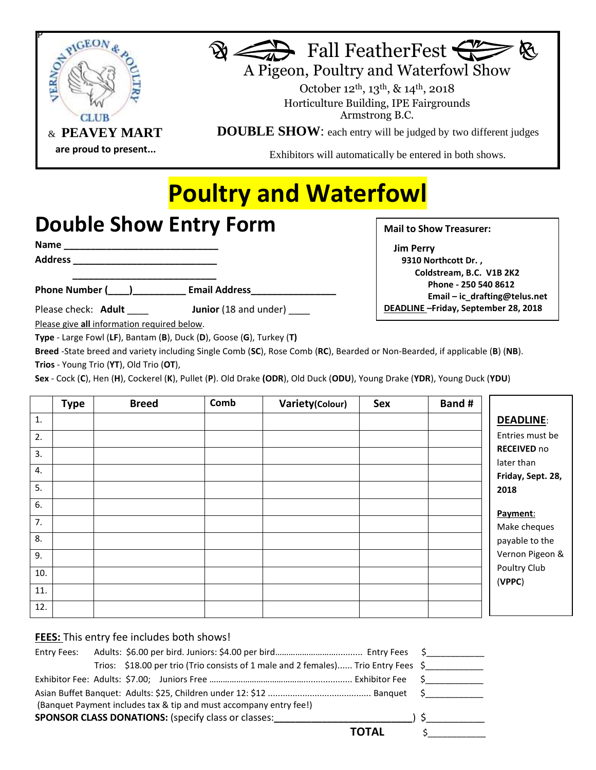



A Pigeon, Poultry and Waterfowl Show

 October 12th, 13th, & 14th, 2018 Horticulture Building, IPE Fairgrounds Armstrong B.C.

**DOUBLE SHOW**: each entry will be judged by two different judges

Exhibitors will automatically be entered in both shows.

## **Poultry and Waterfowl**

## **Double Show Entry Form**

**Name \_\_\_\_\_\_\_\_\_\_\_\_\_\_\_\_\_\_\_\_\_\_\_\_\_\_\_\_\_**

**Address \_\_\_\_\_\_\_\_\_\_\_\_\_\_\_\_\_\_\_\_\_\_\_\_\_\_\_**

**\_\_\_\_\_\_\_\_\_\_\_\_\_\_\_\_\_\_\_\_\_\_\_\_\_\_\_ Phone Number (\_\_\_\_)\_\_\_\_\_\_\_\_\_\_ Email Address\_\_\_\_\_\_\_\_\_\_\_\_\_\_\_\_**

Please check: **Adult** \_\_\_\_\_ **Junior** (18 and under)

**Mail to Show Treasurer:** 

 **Jim Perry 9310 Northcott Dr. , Coldstream, B.C. V1B 2K2 Phone - 250 540 8612 Email – ic\_drafting@telus.net DEADLINE –Friday, September 28, 2018 2018** 

Please give **all** information required below.

**Type** - Large Fowl (**LF**), Bantam (**B**), Duck (**D**), Goose (**G**), Turkey (**T)**

**Breed** -State breed and variety including Single Comb (**SC**), Rose Comb (**RC**), Bearded or Non-Bearded, if applicable (**B**) (**NB**). **Trios** - Young Trio (**YT**), Old Trio (**OT**),

**Sex** - Cock (**C**), Hen (**H**), Cockerel (**K**), Pullet (**P**). Old Drake **(ODR**), Old Duck (**ODU**), Young Drake (**YDR**), Young Duck (**YDU**)

|     | <b>Type</b> | <b>Breed</b> | Comb | Variety(Colour) | <b>Sex</b> | Band #     |                    |
|-----|-------------|--------------|------|-----------------|------------|------------|--------------------|
| 1.  |             |              |      |                 |            |            | <b>DEADLINE:</b>   |
| 2.  |             |              |      |                 |            |            | Entries must be    |
| 3.  |             |              |      |                 |            |            | <b>RECEIVED no</b> |
| 4.  |             |              |      |                 |            | later than | Friday, Sept. 28,  |
| 5.  |             |              |      |                 |            | 2018       |                    |
| 6.  |             |              |      |                 |            |            |                    |
| 7.  |             |              |      |                 |            | Payment:   | Make cheques       |
| 8.  |             |              |      |                 |            |            | payable to the     |
| 9.  |             |              |      |                 |            |            | Vernon Pigeon &    |
| 10. |             |              |      |                 |            | (VPPC)     | Poultry Club       |
| 11. |             |              |      |                 |            |            |                    |
| 12. |             |              |      |                 |            |            |                    |

## **FEES:** This entry fee includes both shows!

| Entry Fees:                                                     |  |  |  |  |                                                                                    |       |  |
|-----------------------------------------------------------------|--|--|--|--|------------------------------------------------------------------------------------|-------|--|
|                                                                 |  |  |  |  | Trios: \$18.00 per trio (Trio consists of 1 male and 2 females) Trio Entry Fees \$ |       |  |
|                                                                 |  |  |  |  |                                                                                    |       |  |
|                                                                 |  |  |  |  |                                                                                    |       |  |
|                                                                 |  |  |  |  | (Banquet Payment includes tax & tip and must accompany entry fee!)                 |       |  |
| <b>SPONSOR CLASS DONATIONS:</b> (specify class or classes: ) \$ |  |  |  |  |                                                                                    |       |  |
|                                                                 |  |  |  |  |                                                                                    | TOTAL |  |